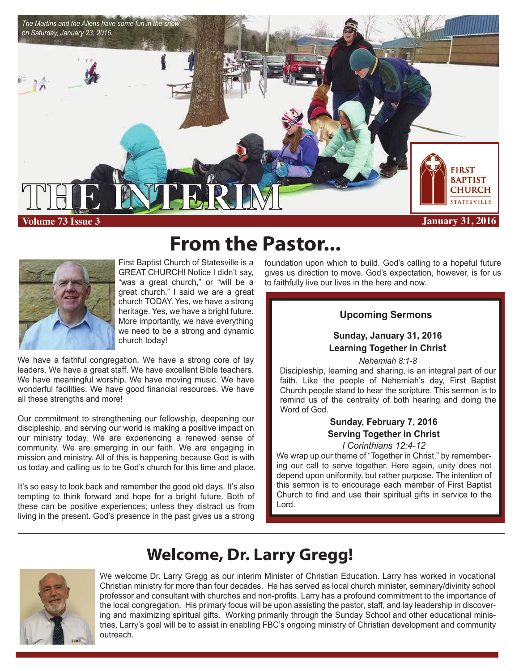

**From the Pastor...** 

First Baptist Church of Statesville is a GREAT CHURCH! Notice I didn't say, "was a great church," or "will be a great church." I said we are a great church TODAY. Yes, we have a strong heritage. Yes, we have a bright future. More importantly, we have everything we need to be a strong and dynamic church today!

We have a faithful congregation. We have a strong core of lay leaders. We have a great staff. We have excellent Bible teachers. We have meaningful worship. We have moving music. We have wonderful facilities. We have good financial resources. We have all these strengths and more!

Our commitment to strengthening our fellowship, deepening our discipleship, and serving our world is making a positive impact on our ministry today. We are experiencing a renewed sense of community. We are emerging in our faith. We are engaging in mission and ministry. All of this is happening because God is with us today and calling us to be God's church for this time and place.

It's so easy to look back and remember the good old days. It's also tempting to think forward and hope for a bright future. Both of these can be positive experiences; unless they distract us from living in the present. God's presence in the past gives us a strong

I

foundation upon which to build. God's calling to a hopeful future gives us direction to move. God's expectation, however, is for us to faithfully live our lives in the here and now.

### **Upcoming Sermons**

### **Sunday, January 31, 2016 Learning Together in Christ**

*Nehemiah 8:1-8*

Discipleship, learning and sharing, is an integral part of our faith. Like the people of Nehemiah's day, First Baptist Church people stand to hear the scripture. This sermon is to remind us of the centrality of both hearing and doing the Word of God.

## **Sunday, February 7, 2016 Serving Together in Christ**

#### *I Corinthians 12:4-12*

We wrap up our theme of "Together in Christ," by remembering our call to serve together. Here again, unity does not depend upon uniformity, but rather purpose. The intention of this sermon is to encourage each member of First Baptist Church to find and use their spiritual gifts in service to the Lord.

# **Welcome, Dr. Larry Gregg!**

We welcome Dr. Larry Gregg as our interim Minister of Christian Education. Larry has worked in vocational Christian ministry for more than four decades. He has served as local church minister, seminary/divinity school professor and consultant with churches and non-profits. Larry has a profound commitment to the importance of the local congregation. His primary focus will be upon assisting the pastor, staff, and lay leadership in discovering and maximizing spiritual gifts. Working primarily through the Sunday School and other educational ministries, Larry's goal will be to assist in enabling FBC's ongoing ministry of Christian development and community outreach.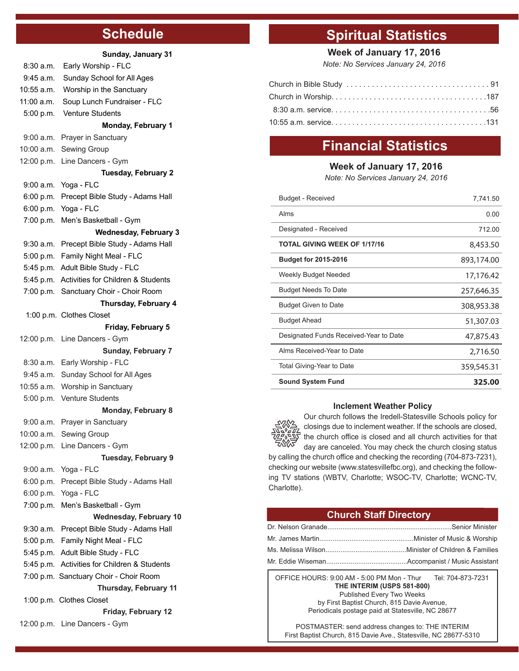# **Schedule**

|            | Sunday, January 31                                                      |
|------------|-------------------------------------------------------------------------|
| 8:30a.m.   | Early Worship - FLC                                                     |
| 9:45 a.m.  | Sunday School for All Ages                                              |
| 10:55 a.m. | Worship in the Sanctuary                                                |
| 11:00 a.m. | Soup Lunch Fundraiser - FLC                                             |
| 5:00 p.m.  | <b>Venture Students</b>                                                 |
|            | <b>Monday, February 1</b>                                               |
| 9:00 a.m.  | Prayer in Sanctuary                                                     |
| 10:00 a.m. | Sewing Group                                                            |
| 12:00 p.m. | Line Dancers - Gym                                                      |
|            | <b>Tuesday, February 2</b>                                              |
| 9:00 a.m.  | Yoga - FLC                                                              |
| 6:00 p.m.  | Precept Bible Study - Adams Hall                                        |
| 6:00 p.m.  | Yoga - FLC                                                              |
| 7:00 p.m.  | Men's Basketball - Gym                                                  |
|            | <b>Wednesday, February 3</b>                                            |
| 9:30 a.m.  | Precept Bible Study - Adams Hall                                        |
| 5:00 p.m.  | Family Night Meal - FLC                                                 |
| 5:45 p.m.  | Adult Bible Study - FLC                                                 |
| 5:45 p.m.  | Activities for Children & Students                                      |
| 7:00 p.m.  | Sanctuary Choir - Choir Room                                            |
|            | Thursday, February 4                                                    |
|            | 1:00 p.m. Clothes Closet                                                |
|            | Friday, February 5                                                      |
| 12:00 p.m. | Line Dancers - Gym                                                      |
|            | <b>Sunday, February 7</b>                                               |
| 8:30 a.m.  | Early Worship - FLC                                                     |
| 9:45 a.m.  | Sunday School for All Ages                                              |
| 10:55 a.m. | Worship in Sanctuary                                                    |
| 5:00 p.m.  | <b>Venture Students</b>                                                 |
|            | <b>Monday, February 8</b>                                               |
| 9:00 a.m.  | Prayer in Sanctuary                                                     |
|            | 10:00 a.m. Sewing Group                                                 |
|            | 12:00 p.m. Line Dancers - Gym                                           |
|            | <b>Tuesday, February 9</b>                                              |
| 9:00 a.m.  | Yoga - FLC                                                              |
| 6:00 p.m.  | Precept Bible Study - Adams Hall                                        |
| 6:00 p.m.  | Yoga - FLC                                                              |
| 7:00 p.m.  | Men's Basketball - Gym                                                  |
|            | <b>Wednesday, February 10</b>                                           |
| 9:30 a.m.  | Precept Bible Study - Adams Hall<br>5:00 p.m. Family Night Meal - FLC   |
|            |                                                                         |
| 5:45 p.m.  | Adult Bible Study - FLC<br>5:45 p.m. Activities for Children & Students |
|            |                                                                         |
|            | 7:00 p.m. Sanctuary Choir - Choir Room                                  |
|            | Thursday, February 11<br>1:00 p.m. Clothes Closet                       |
|            | Friday, February 12                                                     |
|            | 12:00 p.m. Line Dancers - Gym                                           |
|            |                                                                         |

# **Spiritual Statistics**

**Week of January 17, 2016**

*Note: No Services January 24, 2016*

# **Financial Statistics**

#### **Week of January 17, 2016**

*Note: No Services January 24, 2016*

| <b>Sound System Fund</b>               | 325.00     |
|----------------------------------------|------------|
| Total Giving-Year to Date              | 359,545.31 |
| Alms Received-Year to Date             | 2,716.50   |
| Designated Funds Received-Year to Date | 47,875.43  |
| <b>Budget Ahead</b>                    | 51,307.03  |
| <b>Budget Given to Date</b>            | 308,953.38 |
| <b>Budget Needs To Date</b>            | 257,646.35 |
| Weekly Budget Needed                   | 17,176.42  |
| <b>Budget for 2015-2016</b>            | 893,174.00 |
| <b>TOTAL GIVING WEEK OF 1/17/16</b>    | 8,453.50   |
| Designated - Received                  | 712.00     |
| Alms                                   | 0.00       |
| Budget - Received                      | 7,741.50   |

#### **Inclement Weather Policy**



Our church follows the Iredell-Statesville Schools policy for closings due to inclement weather. If the schools are closed, the church office is closed and all church activities for that day are canceled. You may check the church closing status by calling the church office and checking the recording (704-873-7231), checking our website (www.statesvillefbc.org), and checking the following TV stations (WBTV, Charlotte; WSOC-TV, Charlotte; WCNC-TV, Charlotte).

#### **Church Staff Directory**

OFFICE HOURS: 9:00 AM - 5:00 PM Mon - Thur Tel: 704-873-7231 **THE INTERIM (USPS 581-800)** Published Every Two Weeks by First Baptist Church, 815 Davie Avenue, Periodicals postage paid at Statesville, NC 28677

POSTMASTER: send address changes to: THE INTERIM First Baptist Church, 815 Davie Ave., Statesville, NC 28677-5310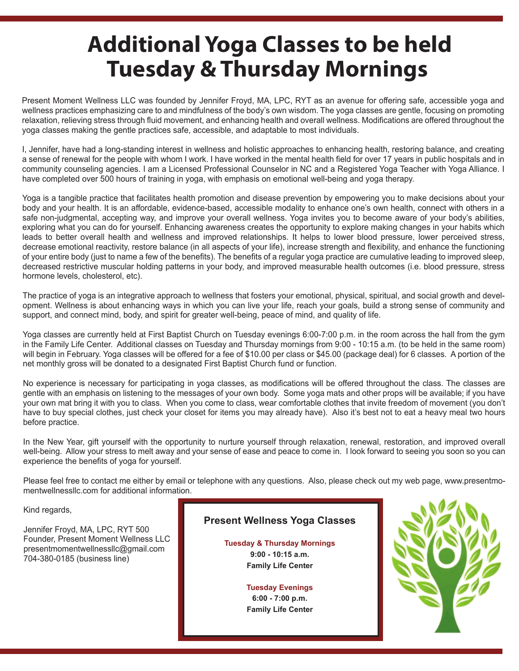# **Additional Yoga Classes to be held Tuesday & Thursday Mornings**

Present Moment Wellness LLC was founded by Jennifer Froyd, MA, LPC, RYT as an avenue for offering safe, accessible yoga and wellness practices emphasizing care to and mindfulness of the body's own wisdom. The yoga classes are gentle, focusing on promoting relaxation, relieving stress through fluid movement, and enhancing health and overall wellness. Modifications are offered throughout the yoga classes making the gentle practices safe, accessible, and adaptable to most individuals.

I, Jennifer, have had a long-standing interest in wellness and holistic approaches to enhancing health, restoring balance, and creating a sense of renewal for the people with whom I work. I have worked in the mental health field for over 17 years in public hospitals and in community counseling agencies. I am a Licensed Professional Counselor in NC and a Registered Yoga Teacher with Yoga Alliance. I have completed over 500 hours of training in yoga, with emphasis on emotional well-being and yoga therapy.

Yoga is a tangible practice that facilitates health promotion and disease prevention by empowering you to make decisions about your body and your health. It is an affordable, evidence-based, accessible modality to enhance one's own health, connect with others in a safe non-judgmental, accepting way, and improve your overall wellness. Yoga invites you to become aware of your body's abilities, exploring what you can do for yourself. Enhancing awareness creates the opportunity to explore making changes in your habits which leads to better overall health and wellness and improved relationships. It helps to lower blood pressure, lower perceived stress, decrease emotional reactivity, restore balance (in all aspects of your life), increase strength and flexibility, and enhance the functioning of your entire body (just to name a few of the benefits). The benefits of a regular yoga practice are cumulative leading to improved sleep, decreased restrictive muscular holding patterns in your body, and improved measurable health outcomes (i.e. blood pressure, stress hormone levels, cholesterol, etc).

The practice of yoga is an integrative approach to wellness that fosters your emotional, physical, spiritual, and social growth and development. Wellness is about enhancing ways in which you can live your life, reach your goals, build a strong sense of community and support, and connect mind, body, and spirit for greater well-being, peace of mind, and quality of life.

Yoga classes are currently held at First Baptist Church on Tuesday evenings 6:00-7:00 p.m. in the room across the hall from the gym in the Family Life Center. Additional classes on Tuesday and Thursday mornings from 9:00 - 10:15 a.m. (to be held in the same room) will begin in February. Yoga classes will be offered for a fee of \$10.00 per class or \$45.00 (package deal) for 6 classes. A portion of the net monthly gross will be donated to a designated First Baptist Church fund or function.

No experience is necessary for participating in yoga classes, as modifications will be offered throughout the class. The classes are gentle with an emphasis on listening to the messages of your own body. Some yoga mats and other props will be available; if you have your own mat bring it with you to class. When you come to class, wear comfortable clothes that invite freedom of movement (you don't have to buy special clothes, just check your closet for items you may already have). Also it's best not to eat a heavy meal two hours before practice.

In the New Year, gift yourself with the opportunity to nurture yourself through relaxation, renewal, restoration, and improved overall well-being. Allow your stress to melt away and your sense of ease and peace to come in. I look forward to seeing you soon so you can experience the benefits of yoga for yourself.

Please feel free to contact me either by email or telephone with any questions. Also, please check out my web page, www.presentmomentwellnessllc.com for additional information.

Kind regards,

Jennifer Froyd, MA, LPC, RYT 500 Founder, Present Moment Wellness LLC presentmomentwellnessllc@gmail.com 704-380-0185 (business line)

### **Present Wellness Yoga Classes**

**Tuesday & Thursday Mornings 9:00 - 10:15 a.m. Family Life Center**

> **Tuesday Evenings 6:00 - 7:00 p.m. Family Life Center**